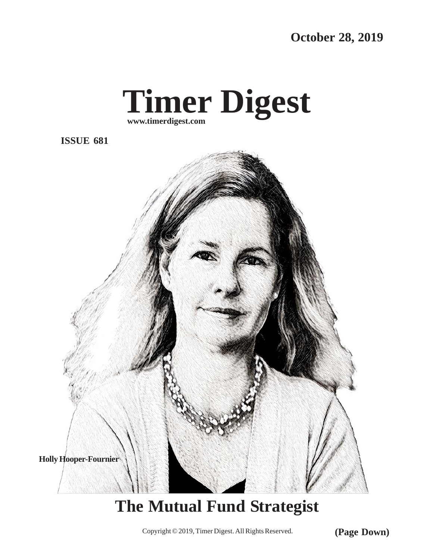**October 28, 2019**



**ISSUE 681**



## **The Mutual Fund Strategist**

Copyright © 2019, Timer Digest. All Rights Reserved. **(Page Down)**